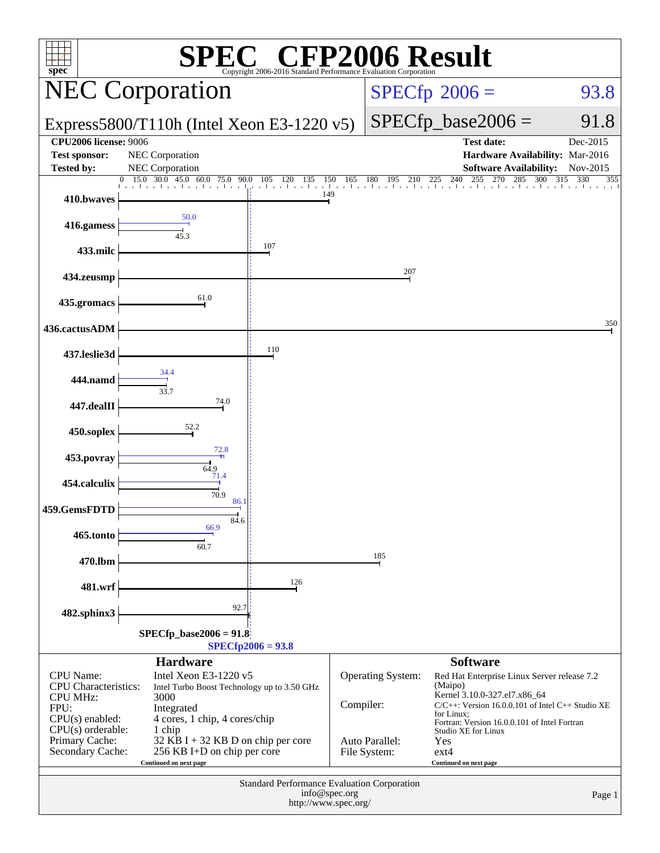| <b>CFP2006 Result</b><br>$spec^*$<br>Copyright 2006-2016 Standard Performance Evaluation Corporation                                                         |                                                                                                                                                                              |                                                                            |                                                            |                                                                                                                                                                                                                                                                                   |                                                                                       |                      |  |
|--------------------------------------------------------------------------------------------------------------------------------------------------------------|------------------------------------------------------------------------------------------------------------------------------------------------------------------------------|----------------------------------------------------------------------------|------------------------------------------------------------|-----------------------------------------------------------------------------------------------------------------------------------------------------------------------------------------------------------------------------------------------------------------------------------|---------------------------------------------------------------------------------------|----------------------|--|
| <b>NEC Corporation</b>                                                                                                                                       |                                                                                                                                                                              |                                                                            |                                                            |                                                                                                                                                                                                                                                                                   | $SPECfp^{\circ}2006 =$                                                                | 93.8                 |  |
| Express5800/T110h (Intel Xeon E3-1220 $v5$ )                                                                                                                 |                                                                                                                                                                              |                                                                            |                                                            |                                                                                                                                                                                                                                                                                   | $SPECfp\_base2006 =$                                                                  | 91.8                 |  |
| <b>CPU2006</b> license: 9006<br><b>Test sponsor:</b><br><b>Tested by:</b>                                                                                    | NEC Corporation<br><b>NEC Corporation</b>                                                                                                                                    |                                                                            |                                                            |                                                                                                                                                                                                                                                                                   | <b>Test date:</b><br>Hardware Availability: Mar-2016<br><b>Software Availability:</b> | Dec-2015<br>Nov-2015 |  |
| 410.bwaves                                                                                                                                                   | 30.0 45.0<br>15.0<br>60.0 75.0 90.0<br>التواط والمتواز                                                                                                                       | 120 135<br>150<br>105<br>باعتا بتلعبا براع<br>149                          | 165                                                        | 180<br>195<br>210                                                                                                                                                                                                                                                                 | 240<br>255<br>270<br>285<br>300<br>225                                                | 315<br>330<br>355    |  |
| 416.gamess                                                                                                                                                   | 50.0<br>45.3                                                                                                                                                                 |                                                                            |                                                            |                                                                                                                                                                                                                                                                                   |                                                                                       |                      |  |
| 433.milc                                                                                                                                                     |                                                                                                                                                                              | 107                                                                        |                                                            |                                                                                                                                                                                                                                                                                   |                                                                                       |                      |  |
| 434.zeusmp                                                                                                                                                   |                                                                                                                                                                              |                                                                            |                                                            | 207                                                                                                                                                                                                                                                                               |                                                                                       |                      |  |
| 435.gromacs                                                                                                                                                  | 61.0                                                                                                                                                                         |                                                                            |                                                            |                                                                                                                                                                                                                                                                                   |                                                                                       | 350                  |  |
| 436.cactusADM                                                                                                                                                |                                                                                                                                                                              | 110                                                                        |                                                            |                                                                                                                                                                                                                                                                                   |                                                                                       |                      |  |
| 437.leslie3d<br>444.namd                                                                                                                                     | 34.4                                                                                                                                                                         |                                                                            |                                                            |                                                                                                                                                                                                                                                                                   |                                                                                       |                      |  |
| 447.dealII                                                                                                                                                   | 33.7<br>74.0                                                                                                                                                                 |                                                                            |                                                            |                                                                                                                                                                                                                                                                                   |                                                                                       |                      |  |
| 450.soplex                                                                                                                                                   | 52.2                                                                                                                                                                         |                                                                            |                                                            |                                                                                                                                                                                                                                                                                   |                                                                                       |                      |  |
| 453.povray                                                                                                                                                   | 72.8                                                                                                                                                                         |                                                                            |                                                            |                                                                                                                                                                                                                                                                                   |                                                                                       |                      |  |
| 454.calculix                                                                                                                                                 | 64.9<br>71.4                                                                                                                                                                 |                                                                            |                                                            |                                                                                                                                                                                                                                                                                   |                                                                                       |                      |  |
| 459.GemsFDTD                                                                                                                                                 | 70.9<br>86.1<br>84.6                                                                                                                                                         |                                                                            |                                                            |                                                                                                                                                                                                                                                                                   |                                                                                       |                      |  |
| 465.tonto                                                                                                                                                    | 66.9<br>60.7                                                                                                                                                                 |                                                                            |                                                            |                                                                                                                                                                                                                                                                                   |                                                                                       |                      |  |
| 470.lbm                                                                                                                                                      |                                                                                                                                                                              |                                                                            |                                                            | 185                                                                                                                                                                                                                                                                               |                                                                                       |                      |  |
| 481.wrf                                                                                                                                                      |                                                                                                                                                                              | 126                                                                        |                                                            |                                                                                                                                                                                                                                                                                   |                                                                                       |                      |  |
| 482.sphinx3                                                                                                                                                  | 92.7<br>$SPECfp\_base2006 = 91.8$                                                                                                                                            |                                                                            |                                                            |                                                                                                                                                                                                                                                                                   |                                                                                       |                      |  |
|                                                                                                                                                              | <b>Hardware</b>                                                                                                                                                              | $SPECfp2006 = 93.8$                                                        |                                                            |                                                                                                                                                                                                                                                                                   | <b>Software</b>                                                                       |                      |  |
| <b>CPU</b> Name:<br><b>CPU</b> Characteristics:<br><b>CPU MHz:</b><br>FPU:<br>$CPU(s)$ enabled:<br>$CPU(s)$ orderable:<br>Primary Cache:<br>Secondary Cache: | Intel Xeon E3-1220 v5<br>Intel Turbo Boost Technology up to 3.50 GHz<br>4 cores, 1 chip, 4 cores/chip<br>$32$ KB I + 32 KB D on chip per core<br>256 KB I+D on chip per core | Compiler:                                                                  | <b>Operating System:</b><br>Auto Parallel:<br>File System: | Red Hat Enterprise Linux Server release 7.2<br>(Maipo)<br>Kernel 3.10.0-327.el7.x86_64<br>$C/C++$ : Version 16.0.0.101 of Intel $C++$ Studio XE<br>for Linux;<br>Fortran: Version 16.0.0.101 of Intel Fortran<br>Studio XE for Linux<br>Yes<br>$ext{4}$<br>Continued on next page |                                                                                       |                      |  |
|                                                                                                                                                              |                                                                                                                                                                              | <b>Standard Performance Evaluation Corporation</b><br>http://www.spec.org/ | info@spec.org                                              |                                                                                                                                                                                                                                                                                   |                                                                                       | Page 1               |  |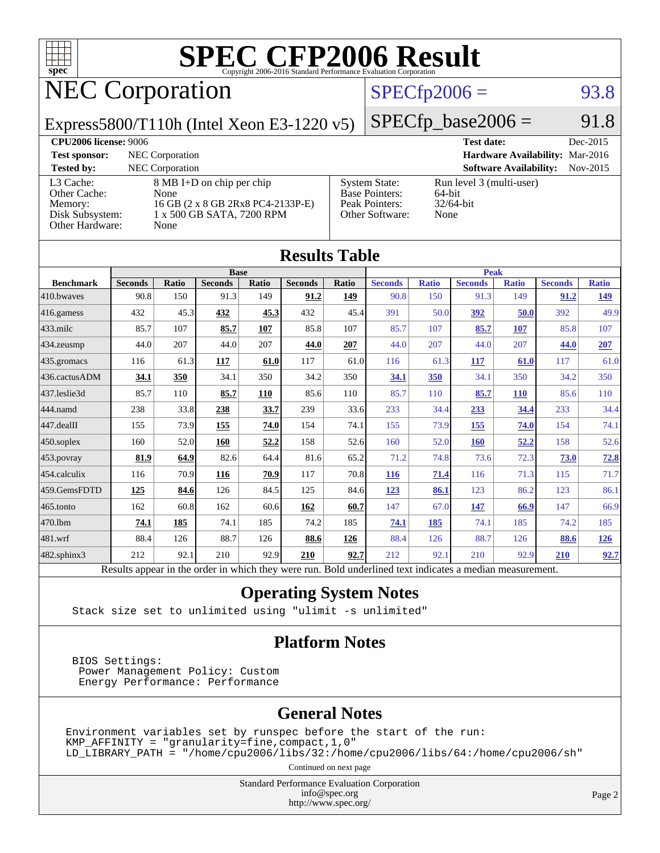

# **[SPEC CFP2006 Result](http://www.spec.org/auto/cpu2006/Docs/result-fields.html#SPECCFP2006Result)**

# NEC Corporation

## $SPECfp2006 = 93.8$  $SPECfp2006 = 93.8$

Express5800/T110h (Intel Xeon E3-1220 v5)

 $SPECfp\_base2006 = 91.8$ 

| <b>CPU2006 license: 9006</b>                                               |                                                                                                             |                                                                                    | <b>Test date:</b>                                          | Dec-2015 |
|----------------------------------------------------------------------------|-------------------------------------------------------------------------------------------------------------|------------------------------------------------------------------------------------|------------------------------------------------------------|----------|
| <b>Test sponsor:</b>                                                       | NEC Corporation                                                                                             |                                                                                    | Hardware Availability: Mar-2016                            |          |
| <b>Tested by:</b>                                                          | <b>NEC</b> Corporation                                                                                      |                                                                                    | <b>Software Availability:</b>                              | Nov-2015 |
| L3 Cache:<br>Other Cache:<br>Memory:<br>Disk Subsystem:<br>Other Hardware: | 8 MB I+D on chip per chip<br>None<br>16 GB (2 x 8 GB 2Rx8 PC4-2133P-E)<br>1 x 500 GB SATA, 7200 RPM<br>None | <b>System State:</b><br><b>Base Pointers:</b><br>Peak Pointers:<br>Other Software: | Run level 3 (multi-user)<br>64-bit<br>$32/64$ -bit<br>None |          |

| <b>Results Table</b>                                                                                     |                |       |                |       |                |             |                |              |                |              |                |              |
|----------------------------------------------------------------------------------------------------------|----------------|-------|----------------|-------|----------------|-------------|----------------|--------------|----------------|--------------|----------------|--------------|
|                                                                                                          | <b>Base</b>    |       |                |       |                | <b>Peak</b> |                |              |                |              |                |              |
| <b>Benchmark</b>                                                                                         | <b>Seconds</b> | Ratio | <b>Seconds</b> | Ratio | <b>Seconds</b> | Ratio       | <b>Seconds</b> | <b>Ratio</b> | <b>Seconds</b> | <b>Ratio</b> | <b>Seconds</b> | <b>Ratio</b> |
| 410.bwayes                                                                                               | 90.8           | 150   | 91.3           | 149   | 91.2           | 149         | 90.8           | 150          | 91.3           | 149          | 91.2           | 149          |
| 416.gamess                                                                                               | 432            | 45.3  | 432            | 45.3  | 432            | 45.4        | 391            | 50.0         | 392            | 50.0         | 392            | 49.9         |
| 433.milc                                                                                                 | 85.7           | 107   | 85.7           | 107   | 85.8           | 107         | 85.7           | 107          | 85.7           | 107          | 85.8           | 107          |
| 434.zeusmp                                                                                               | 44.0           | 207   | 44.0           | 207   | 44.0           | 207         | 44.0           | 207          | 44.0           | 207          | 44.0           | 207          |
| 435.gromacs                                                                                              | 116            | 61.3  | 117            | 61.0  | 117            | 61.0        | 116            | 61.3         | 117            | 61.0         | 117            | 61.0         |
| 436.cactusADM                                                                                            | 34.1           | 350   | 34.1           | 350   | 34.2           | 350         | 34.1           | 350          | 34.1           | 350          | 34.2           | 350          |
| 437.leslie3d                                                                                             | 85.7           | 110   | 85.7           | 110   | 85.6           | 110         | 85.7           | 110          | 85.7           | <b>110</b>   | 85.6           | 110          |
| 444.namd                                                                                                 | 238            | 33.8  | 238            | 33.7  | 239            | 33.6        | 233            | 34.4         | 233            | 34.4         | 233            | 34.4         |
| 447.dealII                                                                                               | 155            | 73.9  | 155            | 74.0  | 154            | 74.1        | 155            | 73.9         | 155            | 74.0         | 154            | 74.1         |
| 450.soplex                                                                                               | 160            | 52.0  | 160            | 52.2  | 158            | 52.6        | 160            | 52.0         | <b>160</b>     | 52.2         | 158            | 52.6         |
| 453.povray                                                                                               | 81.9           | 64.9  | 82.6           | 64.4  | 81.6           | 65.2        | 71.2           | 74.8         | 73.6           | 72.3         | 73.0           | 72.8         |
| 454.calculix                                                                                             | 116            | 70.9  | 116            | 70.9  | 117            | 70.8        | <b>116</b>     | 71.4         | 116            | 71.3         | 115            | 71.7         |
| 459.GemsFDTD                                                                                             | 125            | 84.6  | 126            | 84.5  | 125            | 84.6        | 123            | 86.1         | 123            | 86.2         | 123            | 86.1         |
| 465.tonto                                                                                                | 162            | 60.8  | 162            | 60.6  | 162            | 60.7        | 147            | 67.0         | 147            | 66.9         | 147            | 66.9         |
| 470.1bm                                                                                                  | 74.1           | 185   | 74.1           | 185   | 74.2           | 185         | 74.1           | 185          | 74.1           | 185          | 74.2           | 185          |
| 481.wrf                                                                                                  | 88.4           | 126   | 88.7           | 126   | 88.6           | 126         | 88.4           | 126          | 88.7           | 126          | 88.6           | <u>126</u>   |
| 482.sphinx3                                                                                              | 212            | 92.1  | 210            | 92.9  | 210            | 92.7        | 212            | 92.1         | 210            | 92.9         | 210            | 92.7         |
| Results appear in the order in which they were run. Bold underlined text indicates a median measurement. |                |       |                |       |                |             |                |              |                |              |                |              |

#### **[Operating System Notes](http://www.spec.org/auto/cpu2006/Docs/result-fields.html#OperatingSystemNotes)**

Stack size set to unlimited using "ulimit -s unlimited"

#### **[Platform Notes](http://www.spec.org/auto/cpu2006/Docs/result-fields.html#PlatformNotes)**

 BIOS Settings: Power Management Policy: Custom Energy Performance: Performance

### **[General Notes](http://www.spec.org/auto/cpu2006/Docs/result-fields.html#GeneralNotes)**

Environment variables set by runspec before the start of the run:  $KMP_A$ FFINITY = "granularity=fine, compact, 1, 0" LD\_LIBRARY\_PATH = "/home/cpu2006/libs/32:/home/cpu2006/libs/64:/home/cpu2006/sh"

Continued on next page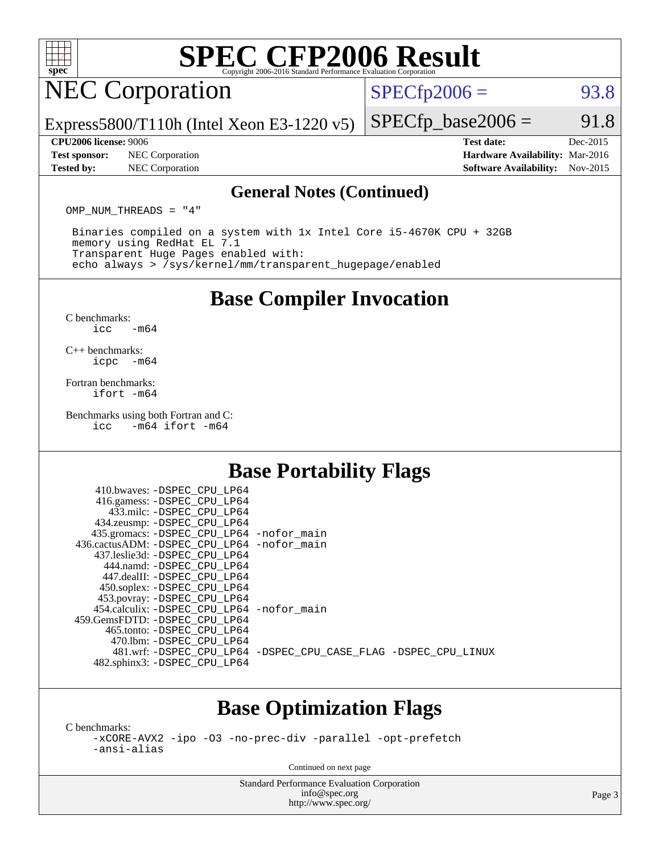

# **[SPEC CFP2006 Result](http://www.spec.org/auto/cpu2006/Docs/result-fields.html#SPECCFP2006Result)**

# NEC Corporation

 $SPECTp2006 = 93.8$ 

Express5800/T110h (Intel Xeon E3-1220 v5)

#### **[CPU2006 license:](http://www.spec.org/auto/cpu2006/Docs/result-fields.html#CPU2006license)** 9006 **[Test date:](http://www.spec.org/auto/cpu2006/Docs/result-fields.html#Testdate)** Dec-2015

**[Test sponsor:](http://www.spec.org/auto/cpu2006/Docs/result-fields.html#Testsponsor)** NEC Corporation **[Hardware Availability:](http://www.spec.org/auto/cpu2006/Docs/result-fields.html#HardwareAvailability)** Mar-2016

 $SPECTp\_base2006 = 91.8$ 

**[Tested by:](http://www.spec.org/auto/cpu2006/Docs/result-fields.html#Testedby)** NEC Corporation **[Software Availability:](http://www.spec.org/auto/cpu2006/Docs/result-fields.html#SoftwareAvailability)** Nov-2015

#### **[General Notes \(Continued\)](http://www.spec.org/auto/cpu2006/Docs/result-fields.html#GeneralNotes)**

OMP\_NUM\_THREADS = "4"

 Binaries compiled on a system with 1x Intel Core i5-4670K CPU + 32GB memory using RedHat EL 7.1 Transparent Huge Pages enabled with: echo always > /sys/kernel/mm/transparent\_hugepage/enabled

### **[Base Compiler Invocation](http://www.spec.org/auto/cpu2006/Docs/result-fields.html#BaseCompilerInvocation)**

[C benchmarks](http://www.spec.org/auto/cpu2006/Docs/result-fields.html#Cbenchmarks):  $\text{icc}$   $-\text{m64}$ 

[C++ benchmarks:](http://www.spec.org/auto/cpu2006/Docs/result-fields.html#CXXbenchmarks) [icpc -m64](http://www.spec.org/cpu2006/results/res2016q1/cpu2006-20160125-38823.flags.html#user_CXXbase_intel_icpc_64bit_bedb90c1146cab66620883ef4f41a67e)

[Fortran benchmarks](http://www.spec.org/auto/cpu2006/Docs/result-fields.html#Fortranbenchmarks): [ifort -m64](http://www.spec.org/cpu2006/results/res2016q1/cpu2006-20160125-38823.flags.html#user_FCbase_intel_ifort_64bit_ee9d0fb25645d0210d97eb0527dcc06e)

[Benchmarks using both Fortran and C](http://www.spec.org/auto/cpu2006/Docs/result-fields.html#BenchmarksusingbothFortranandC):<br>icc -m64 ifort -m64  $-m64$  ifort  $-m64$ 

## **[Base Portability Flags](http://www.spec.org/auto/cpu2006/Docs/result-fields.html#BasePortabilityFlags)**

| 410.bwaves: -DSPEC CPU LP64                  |                                                                |
|----------------------------------------------|----------------------------------------------------------------|
| 416.gamess: -DSPEC_CPU_LP64                  |                                                                |
| 433.milc: -DSPEC CPU LP64                    |                                                                |
| 434.zeusmp: - DSPEC_CPU_LP64                 |                                                                |
| 435.gromacs: -DSPEC_CPU_LP64 -nofor_main     |                                                                |
| 436.cactusADM: - DSPEC CPU LP64 - nofor main |                                                                |
| 437.leslie3d: -DSPEC CPU LP64                |                                                                |
| 444.namd: - DSPEC CPU LP64                   |                                                                |
| 447.dealII: -DSPEC CPU LP64                  |                                                                |
| 450.soplex: -DSPEC_CPU_LP64                  |                                                                |
| 453.povray: -DSPEC_CPU_LP64                  |                                                                |
| 454.calculix: - DSPEC CPU LP64 - nofor main  |                                                                |
| 459. GemsFDTD: - DSPEC CPU LP64              |                                                                |
| 465.tonto: - DSPEC CPU LP64                  |                                                                |
| 470.1bm: - DSPEC CPU LP64                    |                                                                |
|                                              | 481.wrf: -DSPEC CPU_LP64 -DSPEC_CPU_CASE_FLAG -DSPEC_CPU_LINUX |
| 482.sphinx3: -DSPEC_CPU_LP64                 |                                                                |
|                                              |                                                                |

### **[Base Optimization Flags](http://www.spec.org/auto/cpu2006/Docs/result-fields.html#BaseOptimizationFlags)**

[C benchmarks](http://www.spec.org/auto/cpu2006/Docs/result-fields.html#Cbenchmarks): [-xCORE-AVX2](http://www.spec.org/cpu2006/results/res2016q1/cpu2006-20160125-38823.flags.html#user_CCbase_f-xAVX2_5f5fc0cbe2c9f62c816d3e45806c70d7) [-ipo](http://www.spec.org/cpu2006/results/res2016q1/cpu2006-20160125-38823.flags.html#user_CCbase_f-ipo) [-O3](http://www.spec.org/cpu2006/results/res2016q1/cpu2006-20160125-38823.flags.html#user_CCbase_f-O3) [-no-prec-div](http://www.spec.org/cpu2006/results/res2016q1/cpu2006-20160125-38823.flags.html#user_CCbase_f-no-prec-div) [-parallel](http://www.spec.org/cpu2006/results/res2016q1/cpu2006-20160125-38823.flags.html#user_CCbase_f-parallel) [-opt-prefetch](http://www.spec.org/cpu2006/results/res2016q1/cpu2006-20160125-38823.flags.html#user_CCbase_f-opt-prefetch) [-ansi-alias](http://www.spec.org/cpu2006/results/res2016q1/cpu2006-20160125-38823.flags.html#user_CCbase_f-ansi-alias)

Continued on next page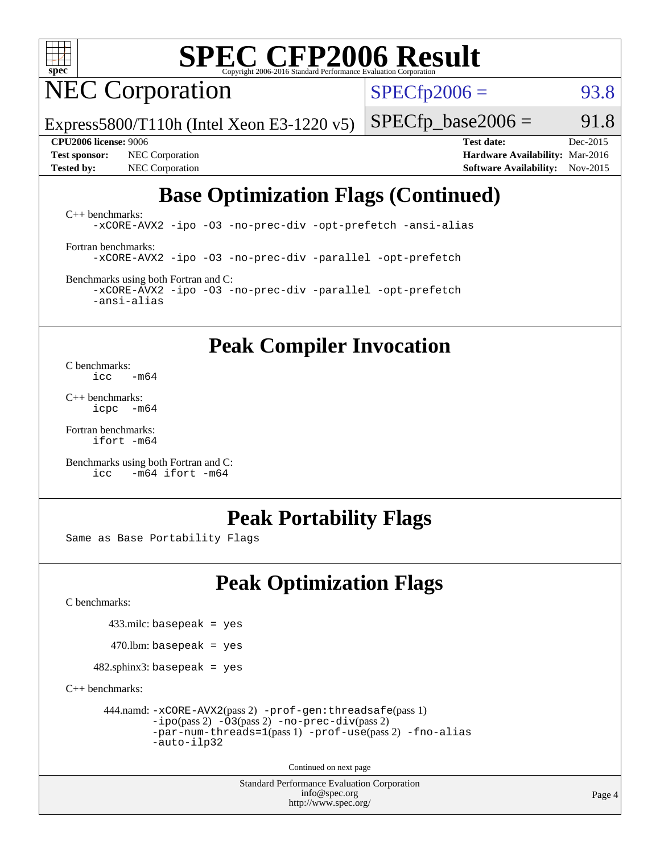

# **[SPEC CFP2006 Result](http://www.spec.org/auto/cpu2006/Docs/result-fields.html#SPECCFP2006Result)**

NEC Corporation

 $SPECTp2006 = 93.8$ 

 $SPECTp\_base2006 = 91.8$ 

Express5800/T110h (Intel Xeon E3-1220 v5)

**[Tested by:](http://www.spec.org/auto/cpu2006/Docs/result-fields.html#Testedby)** NEC Corporation **[Software Availability:](http://www.spec.org/auto/cpu2006/Docs/result-fields.html#SoftwareAvailability)** Nov-2015

**[CPU2006 license:](http://www.spec.org/auto/cpu2006/Docs/result-fields.html#CPU2006license)** 9006 **[Test date:](http://www.spec.org/auto/cpu2006/Docs/result-fields.html#Testdate)** Dec-2015 **[Test sponsor:](http://www.spec.org/auto/cpu2006/Docs/result-fields.html#Testsponsor)** NEC Corporation **[Hardware Availability:](http://www.spec.org/auto/cpu2006/Docs/result-fields.html#HardwareAvailability)** Mar-2016

# **[Base Optimization Flags \(Continued\)](http://www.spec.org/auto/cpu2006/Docs/result-fields.html#BaseOptimizationFlags)**

[C++ benchmarks:](http://www.spec.org/auto/cpu2006/Docs/result-fields.html#CXXbenchmarks) [-xCORE-AVX2](http://www.spec.org/cpu2006/results/res2016q1/cpu2006-20160125-38823.flags.html#user_CXXbase_f-xAVX2_5f5fc0cbe2c9f62c816d3e45806c70d7) [-ipo](http://www.spec.org/cpu2006/results/res2016q1/cpu2006-20160125-38823.flags.html#user_CXXbase_f-ipo) [-O3](http://www.spec.org/cpu2006/results/res2016q1/cpu2006-20160125-38823.flags.html#user_CXXbase_f-O3) [-no-prec-div](http://www.spec.org/cpu2006/results/res2016q1/cpu2006-20160125-38823.flags.html#user_CXXbase_f-no-prec-div) [-opt-prefetch](http://www.spec.org/cpu2006/results/res2016q1/cpu2006-20160125-38823.flags.html#user_CXXbase_f-opt-prefetch) [-ansi-alias](http://www.spec.org/cpu2006/results/res2016q1/cpu2006-20160125-38823.flags.html#user_CXXbase_f-ansi-alias)

[Fortran benchmarks](http://www.spec.org/auto/cpu2006/Docs/result-fields.html#Fortranbenchmarks): [-xCORE-AVX2](http://www.spec.org/cpu2006/results/res2016q1/cpu2006-20160125-38823.flags.html#user_FCbase_f-xAVX2_5f5fc0cbe2c9f62c816d3e45806c70d7) [-ipo](http://www.spec.org/cpu2006/results/res2016q1/cpu2006-20160125-38823.flags.html#user_FCbase_f-ipo) [-O3](http://www.spec.org/cpu2006/results/res2016q1/cpu2006-20160125-38823.flags.html#user_FCbase_f-O3) [-no-prec-div](http://www.spec.org/cpu2006/results/res2016q1/cpu2006-20160125-38823.flags.html#user_FCbase_f-no-prec-div) [-parallel](http://www.spec.org/cpu2006/results/res2016q1/cpu2006-20160125-38823.flags.html#user_FCbase_f-parallel) [-opt-prefetch](http://www.spec.org/cpu2006/results/res2016q1/cpu2006-20160125-38823.flags.html#user_FCbase_f-opt-prefetch)

[Benchmarks using both Fortran and C](http://www.spec.org/auto/cpu2006/Docs/result-fields.html#BenchmarksusingbothFortranandC): [-xCORE-AVX2](http://www.spec.org/cpu2006/results/res2016q1/cpu2006-20160125-38823.flags.html#user_CC_FCbase_f-xAVX2_5f5fc0cbe2c9f62c816d3e45806c70d7) [-ipo](http://www.spec.org/cpu2006/results/res2016q1/cpu2006-20160125-38823.flags.html#user_CC_FCbase_f-ipo) [-O3](http://www.spec.org/cpu2006/results/res2016q1/cpu2006-20160125-38823.flags.html#user_CC_FCbase_f-O3) [-no-prec-div](http://www.spec.org/cpu2006/results/res2016q1/cpu2006-20160125-38823.flags.html#user_CC_FCbase_f-no-prec-div) [-parallel](http://www.spec.org/cpu2006/results/res2016q1/cpu2006-20160125-38823.flags.html#user_CC_FCbase_f-parallel) [-opt-prefetch](http://www.spec.org/cpu2006/results/res2016q1/cpu2006-20160125-38823.flags.html#user_CC_FCbase_f-opt-prefetch) [-ansi-alias](http://www.spec.org/cpu2006/results/res2016q1/cpu2006-20160125-38823.flags.html#user_CC_FCbase_f-ansi-alias)

**[Peak Compiler Invocation](http://www.spec.org/auto/cpu2006/Docs/result-fields.html#PeakCompilerInvocation)**

[C benchmarks](http://www.spec.org/auto/cpu2006/Docs/result-fields.html#Cbenchmarks):  $\text{icc}$   $-\text{m64}$ 

[C++ benchmarks:](http://www.spec.org/auto/cpu2006/Docs/result-fields.html#CXXbenchmarks) [icpc -m64](http://www.spec.org/cpu2006/results/res2016q1/cpu2006-20160125-38823.flags.html#user_CXXpeak_intel_icpc_64bit_bedb90c1146cab66620883ef4f41a67e)

[Fortran benchmarks](http://www.spec.org/auto/cpu2006/Docs/result-fields.html#Fortranbenchmarks): [ifort -m64](http://www.spec.org/cpu2006/results/res2016q1/cpu2006-20160125-38823.flags.html#user_FCpeak_intel_ifort_64bit_ee9d0fb25645d0210d97eb0527dcc06e)

[Benchmarks using both Fortran and C](http://www.spec.org/auto/cpu2006/Docs/result-fields.html#BenchmarksusingbothFortranandC): [icc -m64](http://www.spec.org/cpu2006/results/res2016q1/cpu2006-20160125-38823.flags.html#user_CC_FCpeak_intel_icc_64bit_0b7121f5ab7cfabee23d88897260401c) [ifort -m64](http://www.spec.org/cpu2006/results/res2016q1/cpu2006-20160125-38823.flags.html#user_CC_FCpeak_intel_ifort_64bit_ee9d0fb25645d0210d97eb0527dcc06e)

## **[Peak Portability Flags](http://www.spec.org/auto/cpu2006/Docs/result-fields.html#PeakPortabilityFlags)**

Same as Base Portability Flags

# **[Peak Optimization Flags](http://www.spec.org/auto/cpu2006/Docs/result-fields.html#PeakOptimizationFlags)**

[C benchmarks](http://www.spec.org/auto/cpu2006/Docs/result-fields.html#Cbenchmarks):

 $433$ .milc: basepeak = yes

 $470$ .lbm: basepeak = yes

 $482$ .sphinx3: basepeak = yes

[C++ benchmarks:](http://www.spec.org/auto/cpu2006/Docs/result-fields.html#CXXbenchmarks)

```
 444.namd: -xCORE-AVX2(pass 2) -prof-gen:threadsafe(pass 1)
-ipo(pass 2) -O3(pass 2) -no-prec-div(pass 2)
-par-num-threads=1(pass 1) -prof-use(pass 2) -fno-alias
-auto-ilp32
```
Continued on next page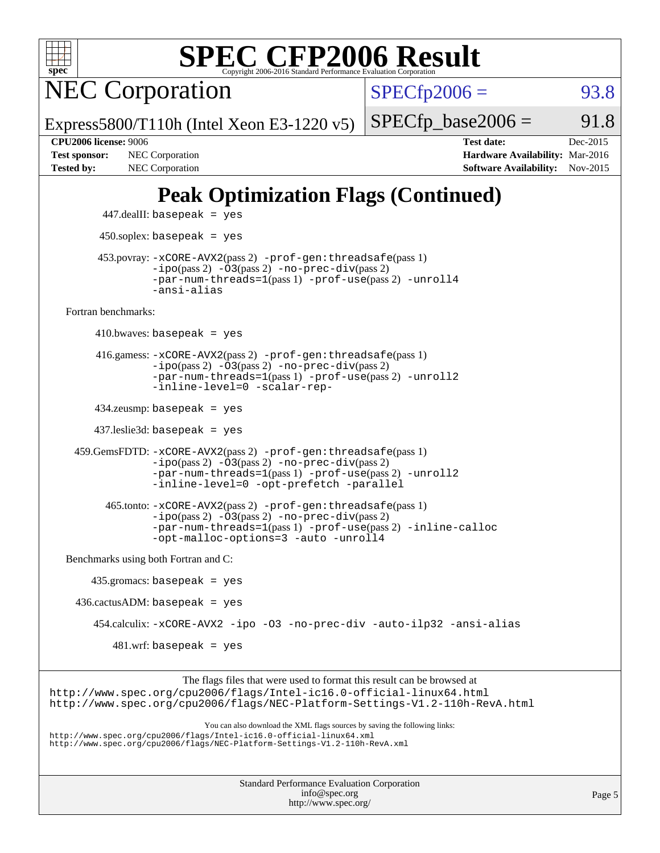